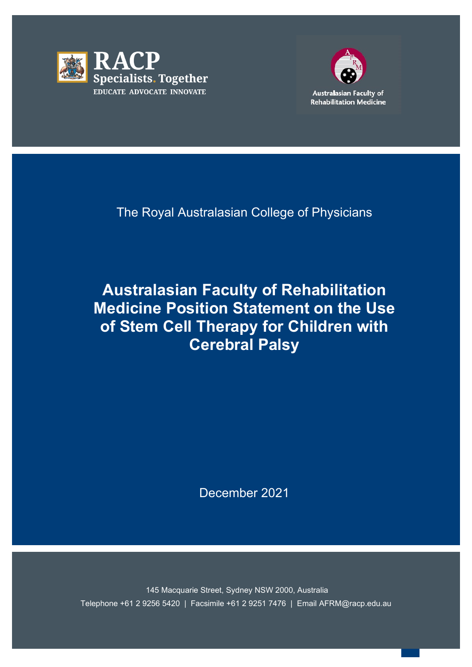



The Royal Australasian College of Physicians

**Australasian Faculty of Rehabilitation Medicine Position Statement on the Use of Stem Cell Therapy for Children with Cerebral Palsy**

December 2021

 Telephone +61 2 9256 5420 | Facsimile +61 2 9251 7476 | Email AFRM@racp.edu.au 145 Macquarie Street, Sydney NSW 2000, Australia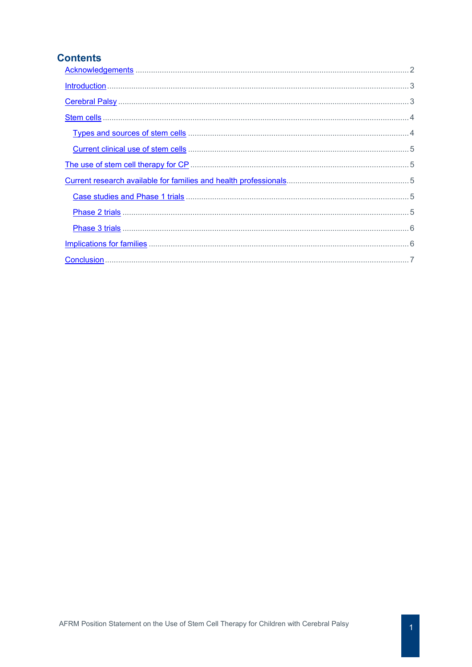# **Contents**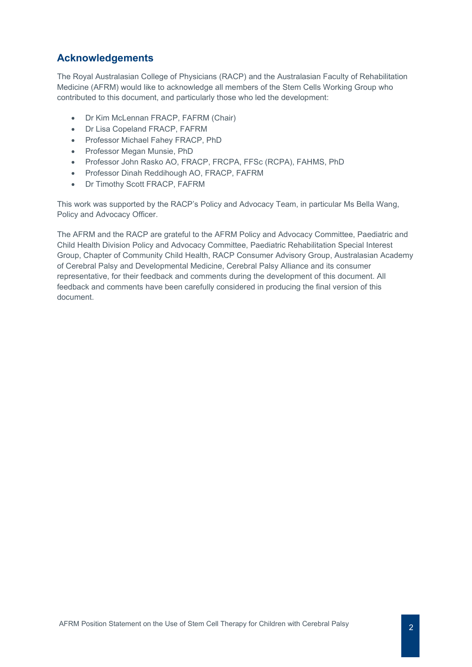# <span id="page-2-0"></span>**Acknowledgements**

The Royal Australasian College of Physicians (RACP) and the Australasian Faculty of Rehabilitation Medicine (AFRM) would like to acknowledge all members of the Stem Cells Working Group who contributed to this document, and particularly those who led the development:

- Dr Kim McLennan FRACP, FAFRM (Chair)
- Dr Lisa Copeland FRACP, FAFRM
- Professor Michael Fahey FRACP, PhD
- Professor Megan Munsie, PhD
- Professor John Rasko AO, FRACP, FRCPA, FFSc (RCPA), FAHMS, PhD
- Professor Dinah Reddihough AO, FRACP, FAFRM
- Dr Timothy Scott FRACP, FAFRM

This work was supported by the RACP's Policy and Advocacy Team, in particular Ms Bella Wang, Policy and Advocacy Officer.

<span id="page-2-1"></span>The AFRM and the RACP are grateful to the AFRM Policy and Advocacy Committee, Paediatric and Child Health Division Policy and Advocacy Committee, Paediatric Rehabilitation Special Interest Group, Chapter of Community Child Health, RACP Consumer Advisory Group, Australasian Academy of Cerebral Palsy and Developmental Medicine, Cerebral Palsy Alliance and its consumer representative, for their feedback and comments during the development of this document. All feedback and comments have been carefully considered in producing the final version of this document.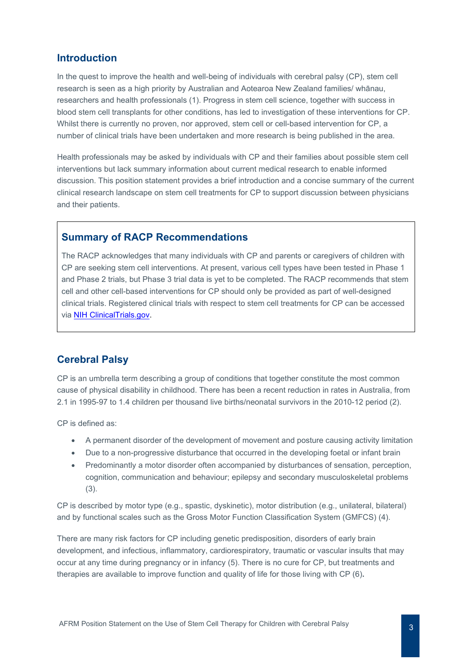## **Introduction**

In the quest to improve the health and well-being of individuals with cerebral palsy (CP), stem cell research is seen as a high priority by Australian and Aotearoa New Zealand families/ whānau, researchers and health professionals (1). Progress in stem cell science, together with success in blood stem cell transplants for other conditions, has led to investigation of these interventions for CP. Whilst there is currently no proven, nor approved, stem cell or cell-based intervention for CP, a number of clinical trials have been undertaken and more research is being published in the area.

Health professionals may be asked by individuals with CP and their families about possible stem cell interventions but lack summary information about current medical research to enable informed discussion. This position statement provides a brief introduction and a concise summary of the current clinical research landscape on stem cell treatments for CP to support discussion between physicians and their patients.

## **Summary of RACP Recommendations**

The RACP acknowledges that many individuals with CP and parents or caregivers of children with CP are seeking stem cell interventions. At present, various cell types have been tested in Phase 1 and Phase 2 trials, but Phase 3 trial data is yet to be completed. The RACP recommends that stem cell and other cell-based interventions for CP should only be provided as part of well-designed clinical trials. Registered clinical trials with respect to stem cell treatments for CP can be accessed via [NIH ClinicalTrials.gov.](https://clinicaltrials.gov/ct2/results?recrs=&cond=Cerebral+Palsy&term=Stem+cells&cntry=&state=&city=&dist)

# <span id="page-3-0"></span>**Cerebral Palsy**

CP is an umbrella term describing a group of conditions that together constitute the most common cause of physical disability in childhood. There has been a recent reduction in rates in Australia, from 2.1 in 1995-97 to 1.4 children per thousand live births/neonatal survivors in the 2010-12 period (2).

CP is defined as:

- A permanent disorder of the development of movement and posture causing activity limitation
- Due to a non-progressive disturbance that occurred in the developing foetal or infant brain
- Predominantly a motor disorder often accompanied by disturbances of sensation, perception, cognition, communication and behaviour; epilepsy and secondary musculoskeletal problems (3).

CP is described by motor type (e.g., spastic, dyskinetic), motor distribution (e.g., unilateral, bilateral) and by functional scales such as the Gross Motor Function Classification System (GMFCS) (4).

<span id="page-3-1"></span>There are many risk factors for CP including genetic predisposition, disorders of early brain development, and infectious, inflammatory, cardiorespiratory, traumatic or vascular insults that may occur at any time during pregnancy or in infancy (5). There is no cure for CP, but treatments and therapies are available to improve function and quality of life for those living with CP (6)**.**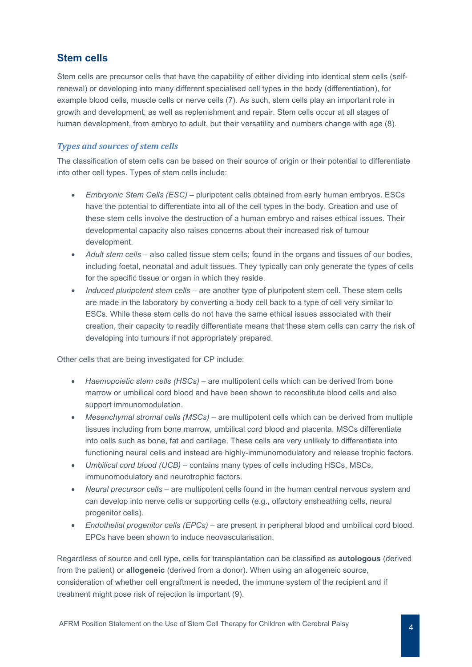# **Stem cells**

Stem cells are precursor cells that have the capability of either dividing into identical stem cells (selfrenewal) or developing into many different specialised cell types in the body (differentiation), for example blood cells, muscle cells or nerve cells (7). As such, stem cells play an important role in growth and development, as well as replenishment and repair. Stem cells occur at all stages of human development, from embryo to adult, but their versatility and numbers change with age (8).

### <span id="page-4-0"></span>*Types and sources of stem cells*

The classification of stem cells can be based on their source of origin or their potential to differentiate into other cell types. Types of stem cells include:

- *Embryonic Stem Cells (ESC)*  pluripotent cells obtained from early human embryos. ESCs have the potential to differentiate into all of the cell types in the body. Creation and use of these stem cells involve the destruction of a human embryo and raises ethical issues. Their developmental capacity also raises concerns about their increased risk of tumour development.
- *Adult stem cells*  also called tissue stem cells; found in the organs and tissues of our bodies, including foetal, neonatal and adult tissues. They typically can only generate the types of cells for the specific tissue or organ in which they reside.
- *Induced pluripotent stem cells* are another type of pluripotent stem cell. These stem cells are made in the laboratory by converting a body cell back to a type of cell very similar to ESCs. While these stem cells do not have the same ethical issues associated with their creation, their capacity to readily differentiate means that these stem cells can carry the risk of developing into tumours if not appropriately prepared.

Other cells that are being investigated for CP include:

- *Haemopoietic stem cells (HSCs)* are multipotent cells which can be derived from bone marrow or umbilical cord blood and have been shown to reconstitute blood cells and also support immunomodulation.
- *Mesenchymal stromal cells (MSCs)* are multipotent cells which can be derived from multiple tissues including from bone marrow, umbilical cord blood and placenta. MSCs differentiate into cells such as bone, fat and cartilage. These cells are very unlikely to differentiate into functioning neural cells and instead are highly-immunomodulatory and release trophic factors.
- *Umbilical cord blood (UCB)* contains many types of cells including HSCs, MSCs, immunomodulatory and neurotrophic factors.
- *Neural precursor cells* are multipotent cells found in the human central nervous system and can develop into nerve cells or supporting cells (e.g., olfactory ensheathing cells, neural progenitor cells).
- *Endothelial progenitor cells (EPCs)* are present in peripheral blood and umbilical cord blood. EPCs have been shown to induce neovascularisation.

Regardless of source and cell type, cells for transplantation can be classified as **autologous** (derived from the patient) or **allogeneic** (derived from a donor). When using an allogeneic source, consideration of whether cell engraftment is needed, the immune system of the recipient and if treatment might pose risk of rejection is important (9).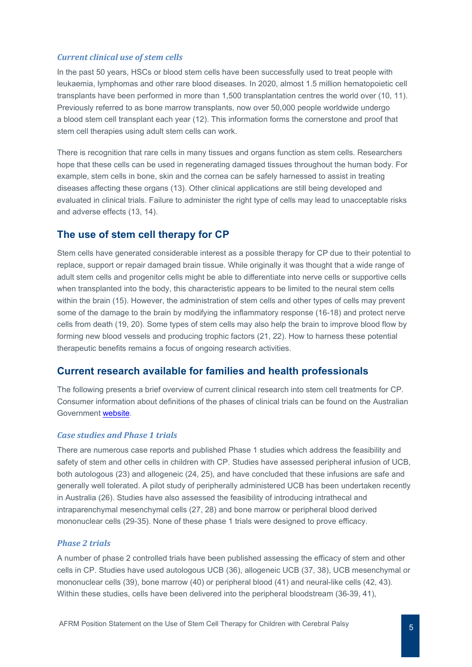#### <span id="page-5-0"></span>*Current clinical use of stem cells*

In the past 50 years, HSCs or blood stem cells have been successfully used to treat people with leukaemia, lymphomas and other rare blood diseases. In 2020, almost 1.5 million hematopoietic cell transplants have been performed in more than 1,500 transplantation centres the world over (10, 11). Previously referred to as bone marrow transplants, now over 50,000 people worldwide undergo a blood stem cell transplant each year (12). This information forms the cornerstone and proof that stem cell therapies using adult stem cells can work.

There is recognition that rare cells in many tissues and organs function as stem cells. Researchers hope that these cells can be used in regenerating damaged tissues throughout the human body. For example, stem cells in bone, skin and the cornea can be safely harnessed to assist in treating diseases affecting these organs (13). Other clinical applications are still being developed and evaluated in clinical trials. Failure to administer the right type of cells may lead to unacceptable risks and adverse effects (13, 14).

### <span id="page-5-1"></span>**The use of stem cell therapy for CP**

Stem cells have generated considerable interest as a possible therapy for CP due to their potential to replace, support or repair damaged brain tissue. While originally it was thought that a wide range of adult stem cells and progenitor cells might be able to differentiate into nerve cells or supportive cells when transplanted into the body, this characteristic appears to be limited to the neural stem cells within the brain (15). However, the administration of stem cells and other types of cells may prevent some of the damage to the brain by modifying the inflammatory response (16-18) and protect nerve cells from death (19, 20). Some types of stem cells may also help the brain to improve blood flow by forming new blood vessels and producing trophic factors (21, 22). How to harness these potential therapeutic benefits remains a focus of ongoing research activities.

### <span id="page-5-2"></span>**Current research available for families and health professionals**

The following presents a brief overview of current clinical research into stem cell treatments for CP. Consumer information about definitions of the phases of clinical trials can be found on the Australian Government [website.](https://www.australianclinicaltrials.gov.au/what-clinical-trial/phases-clinical-trials)

#### <span id="page-5-3"></span>*Case studies and Phase 1 trials*

There are numerous case reports and published Phase 1 studies which address the feasibility and safety of stem and other cells in children with CP. Studies have assessed peripheral infusion of UCB, both autologous (23) and allogeneic (24, 25), and have concluded that these infusions are safe and generally well tolerated. A pilot study of peripherally administered UCB has been undertaken recently in Australia (26). Studies have also assessed the feasibility of introducing intrathecal and intraparenchymal mesenchymal cells (27, 28) and bone marrow or peripheral blood derived mononuclear cells (29-35). None of these phase 1 trials were designed to prove efficacy.

#### <span id="page-5-4"></span>*Phase 2 trials*

A number of phase 2 controlled trials have been published assessing the efficacy of stem and other cells in CP. Studies have used autologous UCB (36), allogeneic UCB (37, 38), UCB mesenchymal or mononuclear cells (39), bone marrow (40) or peripheral blood (41) and neural-like cells (42, 43). Within these studies, cells have been delivered into the peripheral bloodstream (36-39, 41),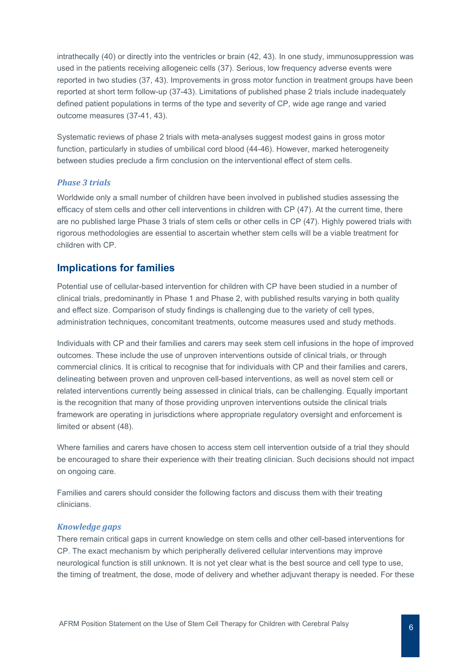intrathecally (40) or directly into the ventricles or brain (42, 43). In one study, immunosuppression was used in the patients receiving allogeneic cells (37). Serious, low frequency adverse events were reported in two studies (37, 43). Improvements in gross motor function in treatment groups have been reported at short term follow-up (37-43). Limitations of published phase 2 trials include inadequately defined patient populations in terms of the type and severity of CP, wide age range and varied outcome measures (37-41, 43).

Systematic reviews of phase 2 trials with meta-analyses suggest modest gains in gross motor function, particularly in studies of umbilical cord blood (44-46). However, marked heterogeneity between studies preclude a firm conclusion on the interventional effect of stem cells.

#### <span id="page-6-0"></span>*Phase 3 trials*

Worldwide only a small number of children have been involved in published studies assessing the efficacy of stem cells and other cell interventions in children with CP (47). At the current time, there are no published large Phase 3 trials of stem cells or other cells in CP (47). Highly powered trials with rigorous methodologies are essential to ascertain whether stem cells will be a viable treatment for children with CP.

### **Implications for families**

Potential use of cellular-based intervention for children with CP have been studied in a number of clinical trials, predominantly in Phase 1 and Phase 2, with published results varying in both quality and effect size. Comparison of study findings is challenging due to the variety of cell types, administration techniques, concomitant treatments, outcome measures used and study methods.

Individuals with CP and their families and carers may seek stem cell infusions in the hope of improved outcomes. These include the use of unproven interventions outside of clinical trials, or through commercial clinics. It is critical to recognise that for individuals with CP and their families and carers, delineating between proven and unproven cell-based interventions, as well as novel stem cell or related interventions currently being assessed in clinical trials, can be challenging. Equally important is the recognition that many of those providing unproven interventions outside the clinical trials framework are operating in jurisdictions where appropriate regulatory oversight and enforcement is limited or absent (48).

Where families and carers have chosen to access stem cell intervention outside of a trial they should be encouraged to share their experience with their treating clinician. Such decisions should not impact on ongoing care.

Families and carers should consider the following factors and discuss them with their treating clinicians.

#### *Knowledge gaps*

There remain critical gaps in current knowledge on stem cells and other cell-based interventions for CP. The exact mechanism by which peripherally delivered cellular interventions may improve neurological function is still unknown. It is not yet clear what is the best source and cell type to use, the timing of treatment, the dose, mode of delivery and whether adjuvant therapy is needed. For these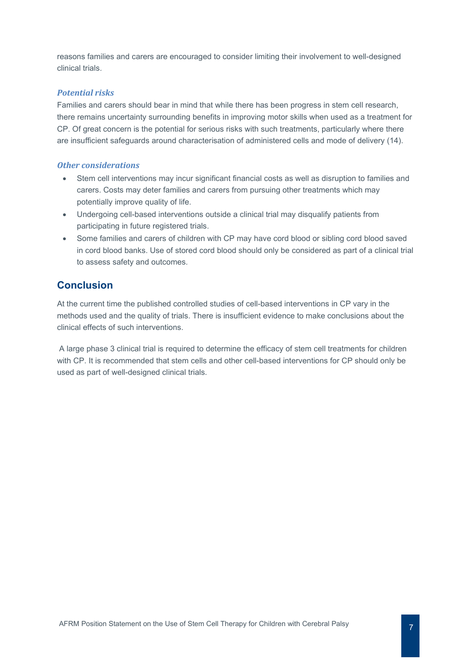reasons families and carers are encouraged to consider limiting their involvement to well-designed clinical trials.

### *Potential risks*

Families and carers should bear in mind that while there has been progress in stem cell research, there remains uncertainty surrounding benefits in improving motor skills when used as a treatment for CP. Of great concern is the potential for serious risks with such treatments, particularly where there are insufficient safeguards around characterisation of administered cells and mode of delivery (14).

#### *Other considerations*

- Stem cell interventions may incur significant financial costs as well as disruption to families and carers. Costs may deter families and carers from pursuing other treatments which may potentially improve quality of life.
- Undergoing cell-based interventions outside a clinical trial may disqualify patients from participating in future registered trials.
- Some families and carers of children with CP may have cord blood or sibling cord blood saved in cord blood banks. Use of stored cord blood should only be considered as part of a clinical trial to assess safety and outcomes.

## <span id="page-7-0"></span>**Conclusion**

At the current time the published controlled studies of cell-based interventions in CP vary in the methods used and the quality of trials. There is insufficient evidence to make conclusions about the clinical effects of such interventions.

A large phase 3 clinical trial is required to determine the efficacy of stem cell treatments for children with CP. It is recommended that stem cells and other cell-based interventions for CP should only be used as part of well-designed clinical trials.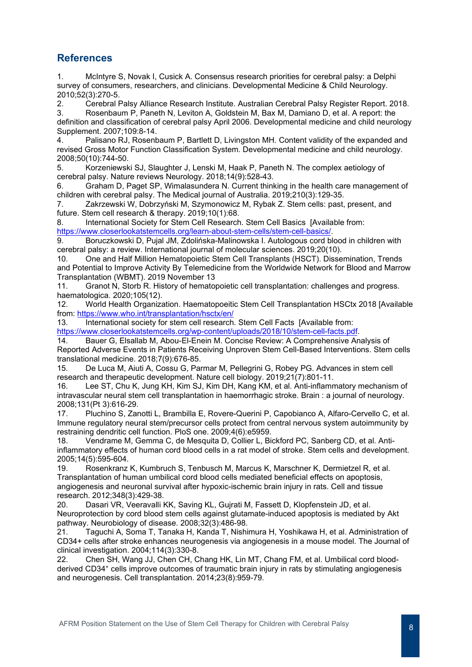# **References**

1. McIntyre S, Novak I, Cusick A. Consensus research priorities for cerebral palsy: a Delphi survey of consumers, researchers, and clinicians. Developmental Medicine & Child Neurology. 2010;52(3):270-5.

2. Cerebral Palsy Alliance Research Institute. Australian Cerebral Palsy Register Report. 2018. 3. Rosenbaum P, Paneth N, Leviton A, Goldstein M, Bax M, Damiano D, et al. A report: the definition and classification of cerebral palsy April 2006. Developmental medicine and child neurology Supplement. 2007;109:8-14.

4. Palisano RJ, Rosenbaum P, Bartlett D, Livingston MH. Content validity of the expanded and revised Gross Motor Function Classification System. Developmental medicine and child neurology. 2008;50(10):744-50.

5. Korzeniewski SJ, Slaughter J, Lenski M, Haak P, Paneth N. The complex aetiology of cerebral palsy. Nature reviews Neurology. 2018;14(9):528-43.

6. Graham D, Paget SP, Wimalasundera N. Current thinking in the health care management of children with cerebral palsy. The Medical journal of Australia. 2019;210(3):129-35.

7. Zakrzewski W, Dobrzyński M, Szymonowicz M, Rybak Z. Stem cells: past, present, and future. Stem cell research & therapy. 2019;10(1):68.

8. International Society for Stem Cell Research. Stem Cell Basics [Available from: [https://www.closerlookatstemcells.org/learn-about-stem-cells/stem-cell-basics/.](https://www.closerlookatstemcells.org/learn-about-stem-cells/stem-cell-basics/)

9. Boruczkowski D, Pujal JM, Zdolińska-Malinowska I. Autologous cord blood in children with cerebral palsy: a review. International journal of molecular sciences. 2019;20(10).<br>10 One and Half Million Hematopoietic Stem Cell Transplants (HSCT). Disse

10. One and Half Million Hematopoietic Stem Cell Transplants (HSCT). Dissemination, Trends and Potential to Improve Activity By Telemedicine from the Worldwide Network for Blood and Marrow Transplantation (WBMT). 2019 November 13

11. Granot N, Storb R. History of hematopoietic cell transplantation: challenges and progress. haematologica. 2020;105(12).

12. World Health Organization. Haematopoeitic Stem Cell Transplantation HSCtx 2018 [Available from:<https://www.who.int/transplantation/hsctx/en/>

13. International society for stem cell research. Stem Cell Facts [Available from:

[https://www.closerlookatstemcells.org/wp-content/uploads/2018/10/stem-cell-facts.pdf.](https://www.closerlookatstemcells.org/wp-content/uploads/2018/10/stem-cell-facts.pdf)

14. Bauer G, Elsallab M, Abou-El-Enein M. Concise Review: A Comprehensive Analysis of Reported Adverse Events in Patients Receiving Unproven Stem Cell-Based Interventions. Stem cells translational medicine. 2018;7(9):676-85.

De Luca M, Aiuti A, Cossu G, Parmar M, Pellegrini G, Robey PG. Advances in stem cell research and therapeutic development. Nature cell biology. 2019;21(7):801-11.

16. Lee ST, Chu K, Jung KH, Kim SJ, Kim DH, Kang KM, et al. Anti-inflammatory mechanism of intravascular neural stem cell transplantation in haemorrhagic stroke. Brain : a journal of neurology. 2008;131(Pt 3):616-29.

17. Pluchino S, Zanotti L, Brambilla E, Rovere-Querini P, Capobianco A, Alfaro-Cervello C, et al. Immune regulatory neural stem/precursor cells protect from central nervous system autoimmunity by restraining dendritic cell function. PloS one. 2009;4(6):e5959.

18. Vendrame M, Gemma C, de Mesquita D, Collier L, Bickford PC, Sanberg CD, et al. Antiinflammatory effects of human cord blood cells in a rat model of stroke. Stem cells and development. 2005;14(5):595-604.

19. Rosenkranz K, Kumbruch S, Tenbusch M, Marcus K, Marschner K, Dermietzel R, et al. Transplantation of human umbilical cord blood cells mediated beneficial effects on apoptosis, angiogenesis and neuronal survival after hypoxic-ischemic brain injury in rats. Cell and tissue research. 2012;348(3):429-38.

20. Dasari VR, Veeravalli KK, Saving KL, Gujrati M, Fassett D, Klopfenstein JD, et al. Neuroprotection by cord blood stem cells against glutamate-induced apoptosis is mediated by Akt pathway. Neurobiology of disease. 2008;32(3):486-98.

21. Taguchi A, Soma T, Tanaka H, Kanda T, Nishimura H, Yoshikawa H, et al. Administration of CD34+ cells after stroke enhances neurogenesis via angiogenesis in a mouse model. The Journal of clinical investigation. 2004;114(3):330-8.<br>22. Chen SH, Wang JJ. Chen CH. C

22. Chen SH, Wang JJ, Chen CH, Chang HK, Lin MT, Chang FM, et al. Umbilical cord bloodderived CD34⁺ cells improve outcomes of traumatic brain injury in rats by stimulating angiogenesis and neurogenesis. Cell transplantation. 2014;23(8):959-79.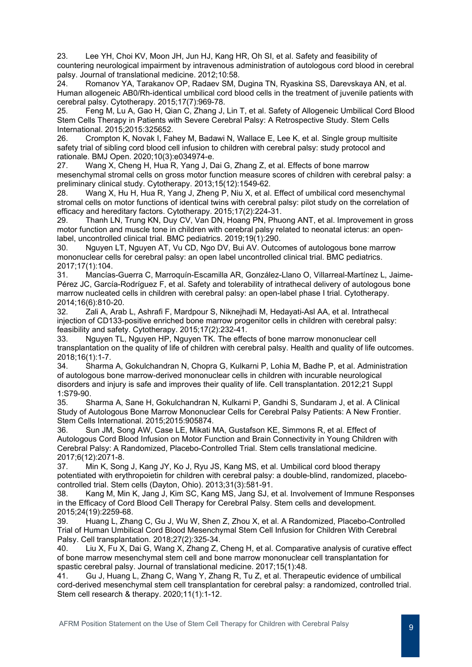23. Lee YH, Choi KV, Moon JH, Jun HJ, Kang HR, Oh SI, et al. Safety and feasibility of countering neurological impairment by intravenous administration of autologous cord blood in cerebral palsy. Journal of translational medicine. 2012;10:58.

24. Romanov YA, Tarakanov OP, Radaev SM, Dugina TN, Ryaskina SS, Darevskaya AN, et al. Human allogeneic AB0/Rh-identical umbilical cord blood cells in the treatment of juvenile patients with cerebral palsy. Cytotherapy. 2015;17(7):969-78.

25. Feng M, Lu A, Gao H, Qian C, Zhang J, Lin T, et al. Safety of Allogeneic Umbilical Cord Blood Stem Cells Therapy in Patients with Severe Cerebral Palsy: A Retrospective Study. Stem Cells International. 2015;2015:325652.<br>26. Crompton K. Novak I. Fal

Crompton K, Novak I, Fahey M, Badawi N, Wallace E, Lee K, et al. Single group multisite safety trial of sibling cord blood cell infusion to children with cerebral palsy: study protocol and rationale. BMJ Open. 2020;10(3):e034974-e.

27. Wang X, Cheng H, Hua R, Yang J, Dai G, Zhang Z, et al. Effects of bone marrow mesenchymal stromal cells on gross motor function measure scores of children with cerebral palsy: a preliminary clinical study. Cytotherapy. 2013;15(12):1549-62.

28. Wang X, Hu H, Hua R, Yang J, Zheng P, Niu X, et al. Effect of umbilical cord mesenchymal stromal cells on motor functions of identical twins with cerebral palsy: pilot study on the correlation of efficacy and hereditary factors. Cytotherapy. 2015;17(2):224-31.

29. Thanh LN, Trung KN, Duy CV, Van DN, Hoang PN, Phuong ANT, et al. Improvement in gross motor function and muscle tone in children with cerebral palsy related to neonatal icterus: an openlabel, uncontrolled clinical trial. BMC pediatrics. 2019;19(1):290.

30. Nguyen LT, Nguyen AT, Vu CD, Ngo DV, Bui AV. Outcomes of autologous bone marrow mononuclear cells for cerebral palsy: an open label uncontrolled clinical trial. BMC pediatrics. 2017;17(1):104.

31. Mancías-Guerra C, Marroquín-Escamilla AR, González-Llano O, Villarreal-Martínez L, Jaime-Pérez JC, García-Rodríguez F, et al. Safety and tolerability of intrathecal delivery of autologous bone marrow nucleated cells in children with cerebral palsy: an open-label phase I trial. Cytotherapy. 2014;16(6):810-20.

32. Zali A, Arab L, Ashrafi F, Mardpour S, Niknejhadi M, Hedayati-Asl AA, et al. Intrathecal injection of CD133-positive enriched bone marrow progenitor cells in children with cerebral palsy: feasibility and safety. Cytotherapy. 2015;17(2):232-41.

33. Nguyen TL, Nguyen HP, Nguyen TK. The effects of bone marrow mononuclear cell transplantation on the quality of life of children with cerebral palsy. Health and quality of life outcomes. 2018;16(1):1-7.

34. Sharma A, Gokulchandran N, Chopra G, Kulkarni P, Lohia M, Badhe P, et al. Administration of autologous bone marrow-derived mononuclear cells in children with incurable neurological disorders and injury is safe and improves their quality of life. Cell transplantation. 2012;21 Suppl 1:S79-90.

35. Sharma A, Sane H, Gokulchandran N, Kulkarni P, Gandhi S, Sundaram J, et al. A Clinical Study of Autologous Bone Marrow Mononuclear Cells for Cerebral Palsy Patients: A New Frontier. Stem Cells International. 2015;2015:905874.

36. Sun JM, Song AW, Case LE, Mikati MA, Gustafson KE, Simmons R, et al. Effect of Autologous Cord Blood Infusion on Motor Function and Brain Connectivity in Young Children with Cerebral Palsy: A Randomized, Placebo-Controlled Trial. Stem cells translational medicine. 2017;6(12):2071-8.

37. Min K, Song J, Kang JY, Ko J, Ryu JS, Kang MS, et al. Umbilical cord blood therapy potentiated with erythropoietin for children with cerebral palsy: a double-blind, randomized, placebocontrolled trial. Stem cells (Dayton, Ohio). 2013;31(3):581-91.

38. Kang M, Min K, Jang J, Kim SC, Kang MS, Jang SJ, et al. Involvement of Immune Responses in the Efficacy of Cord Blood Cell Therapy for Cerebral Palsy. Stem cells and development. 2015;24(19):2259-68.

39. Huang L, Zhang C, Gu J, Wu W, Shen Z, Zhou X, et al. A Randomized, Placebo-Controlled Trial of Human Umbilical Cord Blood Mesenchymal Stem Cell Infusion for Children With Cerebral Palsy. Cell transplantation. 2018;27(2):325-34.

40. Liu X, Fu X, Dai G, Wang X, Zhang Z, Cheng H, et al. Comparative analysis of curative effect of bone marrow mesenchymal stem cell and bone marrow mononuclear cell transplantation for spastic cerebral palsy. Journal of translational medicine. 2017;15(1):48.<br>41. Gu J. Huang L. Zhang C. Wang Y. Zhang R. Tu Z. et al. Therap

41. Gu J, Huang L, Zhang C, Wang Y, Zhang R, Tu Z, et al. Therapeutic evidence of umbilical cord-derived mesenchymal stem cell transplantation for cerebral palsy: a randomized, controlled trial. Stem cell research & therapy. 2020;11(1):1-12.